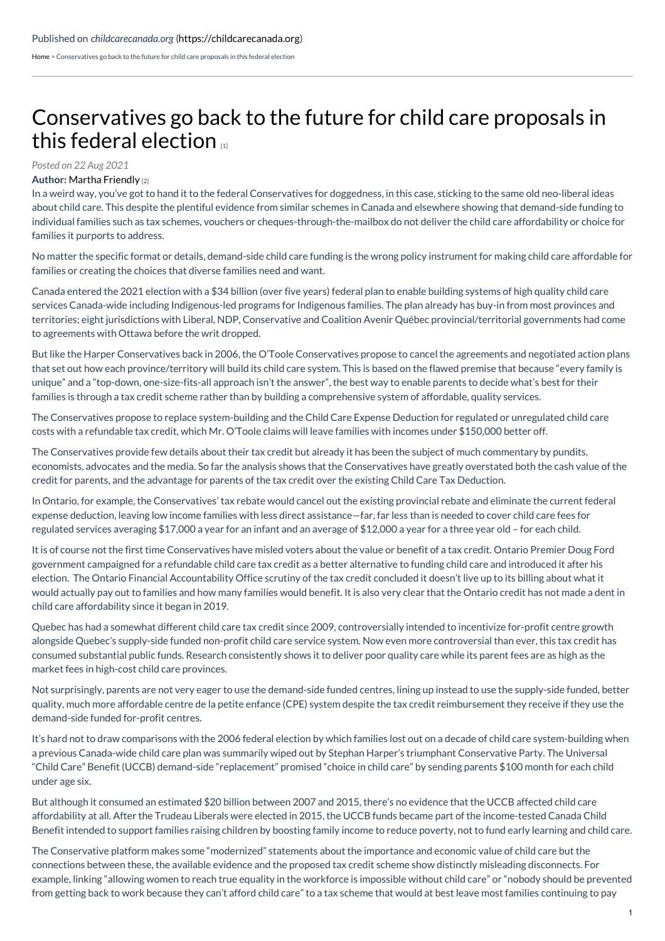[Home](https://childcarecanada.org/) > Conservatives go back to the future for child care proposals in this federal election

## [Conservatives](https://childcarecanada.org/blog/conservatives-go-back-future-child-care-proposals-federal-election) go back to the future for child care proposals in this federal election

## *Posted on 22 Aug 2021*

## **Author:** Martha [Friendly](https://childcarecanada.org/blog/author/martha-friendly) [2]

In a weird way, you've got to hand it to the federal Conservatives for doggedness, in this case, sticking to the same old neo-liberal ideas about child care. This despite the plentiful evidence from similar schemes in Canada and elsewhere showing that demand-side funding to individual families such as tax schemes, vouchers or cheques-through-the-mailbox do not deliver the child care affordability or choice for families it purports to address.

No matter the specific format or details, demand-side child care funding is the wrong policy instrument for making child care affordable for families or creating the choices that diverse families need and want.

Canada entered the 2021 election with a \$34 billion (over five years) federal plan to enable building systems of high quality child care services Canada-wide including Indigenous-led programs for Indigenous families. The plan already has buy-in from most provinces and territories; eight jurisdictions with Liberal, NDP, Conservative and Coalition Avenir Québec provincial/territorial governments had come to agreements with Ottawa before the writ dropped.

But like the Harper Conservatives back in 2006, the O'Toole Conservatives propose to cancel the agreements and negotiated action plans that set out how each province/territory will build its child care system. This is based on the flawed premise that because "every family is unique" and a "top-down, one-size-fits-all approach isn't the answer", the best way to enable parents to decide what's best for their families is through a tax credit scheme rather than by building a comprehensive system of affordable, quality services.

The Conservatives propose to replace system-building and the Child Care Expense Deduction for regulated or unregulated child care costs with a refundable tax credit, which Mr. O'Toole claims will leave families with incomes under \$150,000 better off.

The Conservatives provide few details about their tax credit but already it has been the subject of much commentary by pundits, economists, advocates and the media. So far the analysis shows that the Conservatives have greatly overstated both the cash value of the credit for parents, and the advantage for parents of the tax credit over the existing Child Care Tax Deduction.

In Ontario, for example, the Conservatives' tax rebate would cancel out the existing provincial rebate and eliminate the current federal expense deduction, leaving low income families with less direct assistance—far, far less than is needed to cover child care fees for regulated services averaging \$17,000 a year for an infant and an average of \$12,000 a year for a three year old – for each child.

It is of course not the first time Conservatives have misled voters about the value or benefit of a tax credit. Ontario Premier Doug Ford government campaigned for a refundable child care tax credit as a better alternative to funding child care and introduced it after his election. The Ontario Financial Accountability Office scrutiny of the tax credit concluded it doesn't live up to its billing about what it would actually pay out to families and how many families would benefit. It is also very clear that the Ontario credit has not made a dent in child care affordability since it began in 2019.

Quebec has had a somewhat different child care tax credit since 2009, controversially intended to incentivize for-profit centre growth alongside Quebec's supply-side funded non-profit child care service system. Now even more controversial than ever, this tax credit has consumed substantial public funds. Research consistently shows it to deliver poor quality care while its parent fees are as high as the market fees in high-cost child care provinces.

Not surprisingly, parents are not very eager to use the demand-side funded centres, lining up instead to use the supply-side funded, better quality, much more affordable centre de la petite enfance (CPE) system despite the tax credit reimbursement they receive if they use the demand-side funded for-profit centres.

It's hard not to draw comparisons with the 2006 federal election by which families lost out on a decade of child care system-building when a previous Canada-wide child care plan was summarily wiped out by Stephan Harper's triumphant Conservative Party. The Universal "Child Care" Benefit (UCCB) demand-side "replacement" promised "choice in child care" by sending parents \$100 month for each child under age six.

But although it consumed an estimated \$20 billion between 2007 and 2015, there's no evidence that the UCCB affected child care affordability at all. After the Trudeau Liberals were elected in 2015, the UCCB funds became part of the income-tested Canada Child Benefit intended to support families raising children by boosting family income to reduce poverty, not to fund early learning and child care.

The Conservative platform makes some "modernized" statements about the importance and economic value of child care but the connections between these, the available evidence and the proposed tax credit scheme show distinctly misleading disconnects. For example, linking "allowing women to reach true equality in the workforce is impossible without child care" or "nobody should be prevented from getting back to work because they can't afford child care" to a tax scheme that would at best leave most families continuing to pay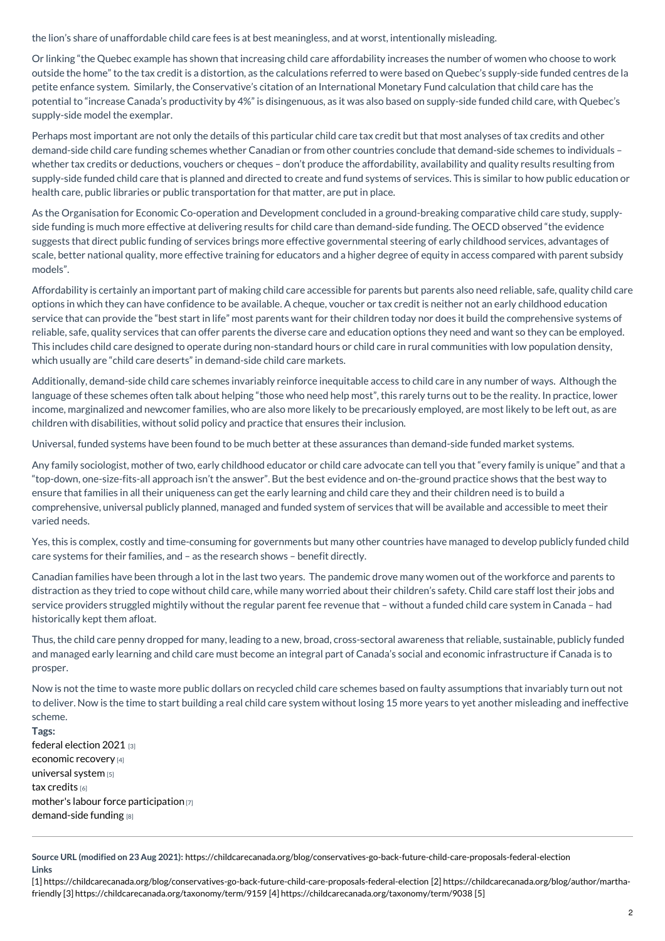the lion's share of unaffordable child care fees is at best meaningless, and at worst, intentionally misleading.

Or linking "the Quebec example has shown that increasing child care affordability increases the number of women who choose to work outside the home" to the tax credit is a distortion, as the calculations referred to were based on Quebec's supply-side funded centres de la petite enfance system. Similarly, the Conservative's citation of an International Monetary Fund calculation that child care has the potential to "increase Canada's productivity by 4%" is disingenuous, as it was also based on supply-side funded child care, with Quebec's supply-side model the exemplar.

Perhaps most important are not only the details of this particular child care tax credit but that most analyses of tax credits and other demand-side child care funding schemes whether Canadian or from other countries conclude that demand-side schemes to individuals – whether tax credits or deductions, vouchers or cheques - don't produce the affordability, availability and quality results resulting from supply-side funded child care that is planned and directed to create and fund systems of services. This is similar to how public education or health care, public libraries or public transportation for that matter, are put in place.

As the Organisation for Economic Co-operation and Development concluded in a ground-breaking comparative child care study, supplyside funding is much more effective at delivering results for child care than demand-side funding. The OECD observed "the evidence suggests that direct public funding of services brings more effective governmental steering of early childhood services, advantages of scale, better national quality, more effective training for educators and a higher degree of equity in access compared with parent subsidy models".

Affordability is certainly an important part of making child care accessible for parents but parents also need reliable, safe, quality child care options in which they can have confidence to be available. A cheque, voucher or tax credit is neither not an early childhood education service that can provide the "best start in life" most parents want for their children today nor does it build the comprehensive systems of reliable, safe, quality services that can offer parents the diverse care and education options they need and want so they can be employed. This includes child care designed to operate during non-standard hours or child care in rural communities with low population density, which usually are "child care deserts" in demand-side child care markets.

Additionally, demand-side child care schemes invariably reinforce inequitable access to child care in any number of ways. Although the language of these schemes often talk about helping "those who need help most", this rarely turns out to be the reality. In practice, lower income, marginalized and newcomer families, who are also more likely to be precariously employed, are most likely to be left out, as are children with disabilities, without solid policy and practice that ensures their inclusion.

Universal, funded systems have been found to be much better at these assurances than demand-side funded market systems.

Any family sociologist, mother of two, early childhood educator or child care advocate can tell you that "every family is unique" and that a "top-down, one-size-fits-all approach isn't the answer". But the best evidence and on-the-ground practice shows that the best way to ensure that families in all their uniqueness can get the early learning and child care they and their children need is to build a comprehensive, universal publicly planned, managed and funded system of services that will be available and accessible to meet their varied needs.

Yes, this is complex, costly and time-consuming for governments but many other countries have managed to develop publicly funded child care systems for their families, and – as the research shows – benefit directly.

Canadian families have been through a lot in the last two years. The pandemic drove many women out of the workforce and parents to distraction as they tried to cope without child care, while many worried about their children's safety. Child care staff lost their jobs and service providers struggled mightily without the regular parent fee revenue that – without a funded child care system in Canada – had historically kept them afloat.

Thus, the child care penny dropped for many, leading to a new, broad, cross-sectoral awareness that reliable, sustainable, publicly funded and managed early learning and child care must become an integral part of Canada's social and economic infrastructure if Canada is to prosper.

Now is not the time to waste more public dollars on recycled child care schemes based on faulty assumptions that invariably turn out not to deliver. Now is the time to start building a real child care system without losing 15 more years to yet another misleading and ineffective scheme.

**Tags:**

federal [election](https://childcarecanada.org/taxonomy/term/9159) 2021 [3] [economic](https://childcarecanada.org/taxonomy/term/9038) recovery [4] [universal](https://childcarecanada.org/taxonomy/term/9083) system [5] tax [credits](https://childcarecanada.org/taxonomy/term/9157) [6] mother's labour force [participation](https://childcarecanada.org/taxonomy/term/8142) [7] [demand-side](https://childcarecanada.org/taxonomy/term/9160) funding [8]

**Source URL (modified on 23 Aug 2021):** <https://childcarecanada.org/blog/conservatives-go-back-future-child-care-proposals-federal-election> **Links**

[1] [https://childcarecanada.org/blog/conservatives-go-back-future-child-care-proposals-federal-election](https://childcarecanada.org/blog/author/martha-friendly) [2] https://childcarecanada.org/blog/author/marthafriendly [3] [https://childcarecanada.org/taxonomy/term/9159](https://childcarecanada.org/taxonomy/term/9083) [4] <https://childcarecanada.org/taxonomy/term/9038> [5]